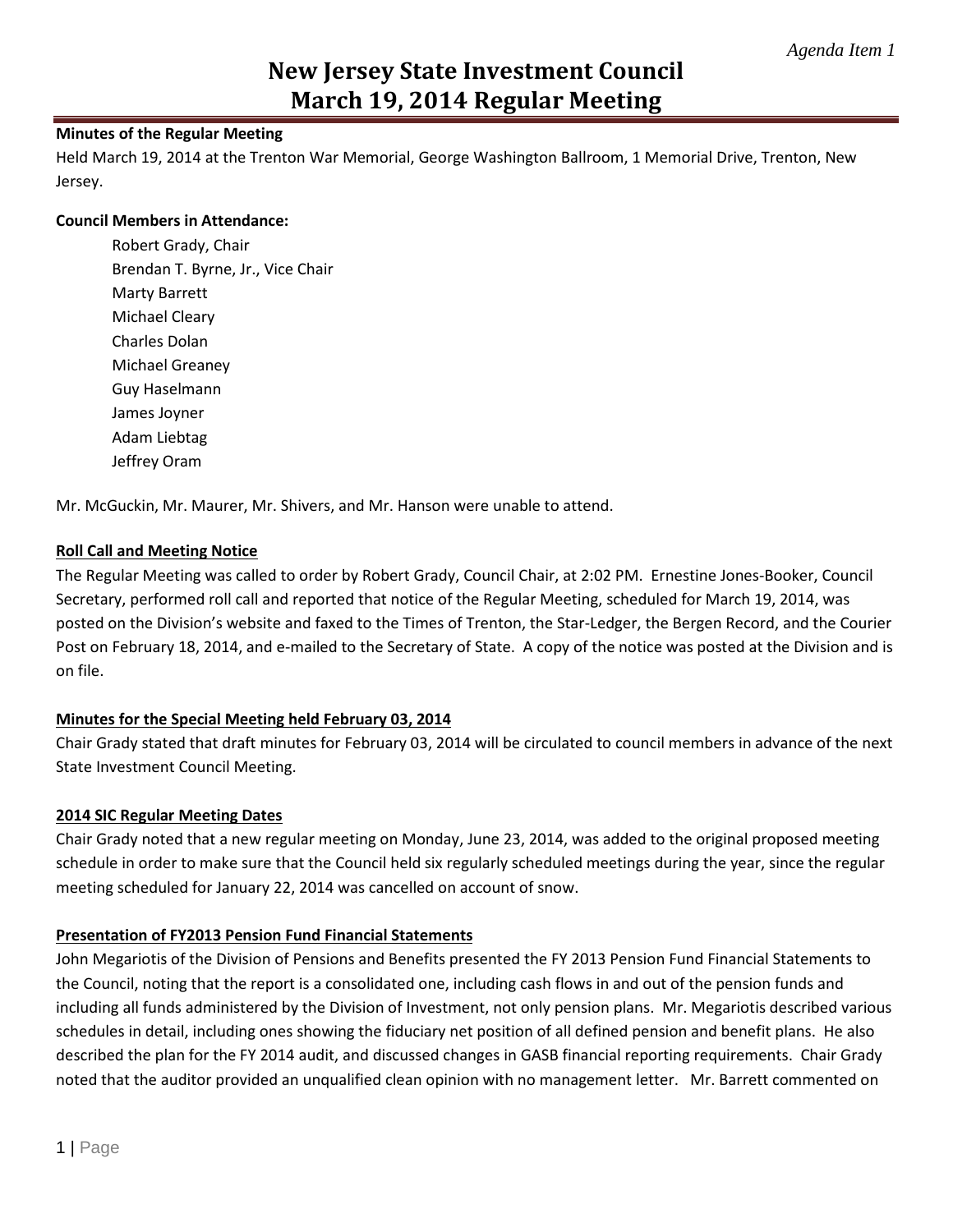# **New Jersey State Investment Council March 19, 2014 Regular Meeting**

## **Minutes of the Regular Meeting**

Held March 19, 2014 at the Trenton War Memorial, George Washington Ballroom, 1 Memorial Drive, Trenton, New Jersey.

### **Council Members in Attendance:**

Robert Grady, Chair Brendan T. Byrne, Jr., Vice Chair Marty Barrett Michael Cleary Charles Dolan Michael Greaney Guy Haselmann James Joyner Adam Liebtag Jeffrey Oram

Mr. McGuckin, Mr. Maurer, Mr. Shivers, and Mr. Hanson were unable to attend.

## **Roll Call and Meeting Notice**

The Regular Meeting was called to order by Robert Grady, Council Chair, at 2:02 PM. Ernestine Jones-Booker, Council Secretary, performed roll call and reported that notice of the Regular Meeting, scheduled for March 19, 2014, was posted on the Division's website and faxed to the Times of Trenton, the Star-Ledger, the Bergen Record, and the Courier Post on February 18, 2014, and e-mailed to the Secretary of State. A copy of the notice was posted at the Division and is on file.

## **Minutes for the Special Meeting held February 03, 2014**

Chair Grady stated that draft minutes for February 03, 2014 will be circulated to council members in advance of the next State Investment Council Meeting.

## **2014 SIC Regular Meeting Dates**

Chair Grady noted that a new regular meeting on Monday, June 23, 2014, was added to the original proposed meeting schedule in order to make sure that the Council held six regularly scheduled meetings during the year, since the regular meeting scheduled for January 22, 2014 was cancelled on account of snow.

### **Presentation of FY2013 Pension Fund Financial Statements**

John Megariotis of the Division of Pensions and Benefits presented the FY 2013 Pension Fund Financial Statements to the Council, noting that the report is a consolidated one, including cash flows in and out of the pension funds and including all funds administered by the Division of Investment, not only pension plans. Mr. Megariotis described various schedules in detail, including ones showing the fiduciary net position of all defined pension and benefit plans. He also described the plan for the FY 2014 audit, and discussed changes in GASB financial reporting requirements. Chair Grady noted that the auditor provided an unqualified clean opinion with no management letter. Mr. Barrett commented on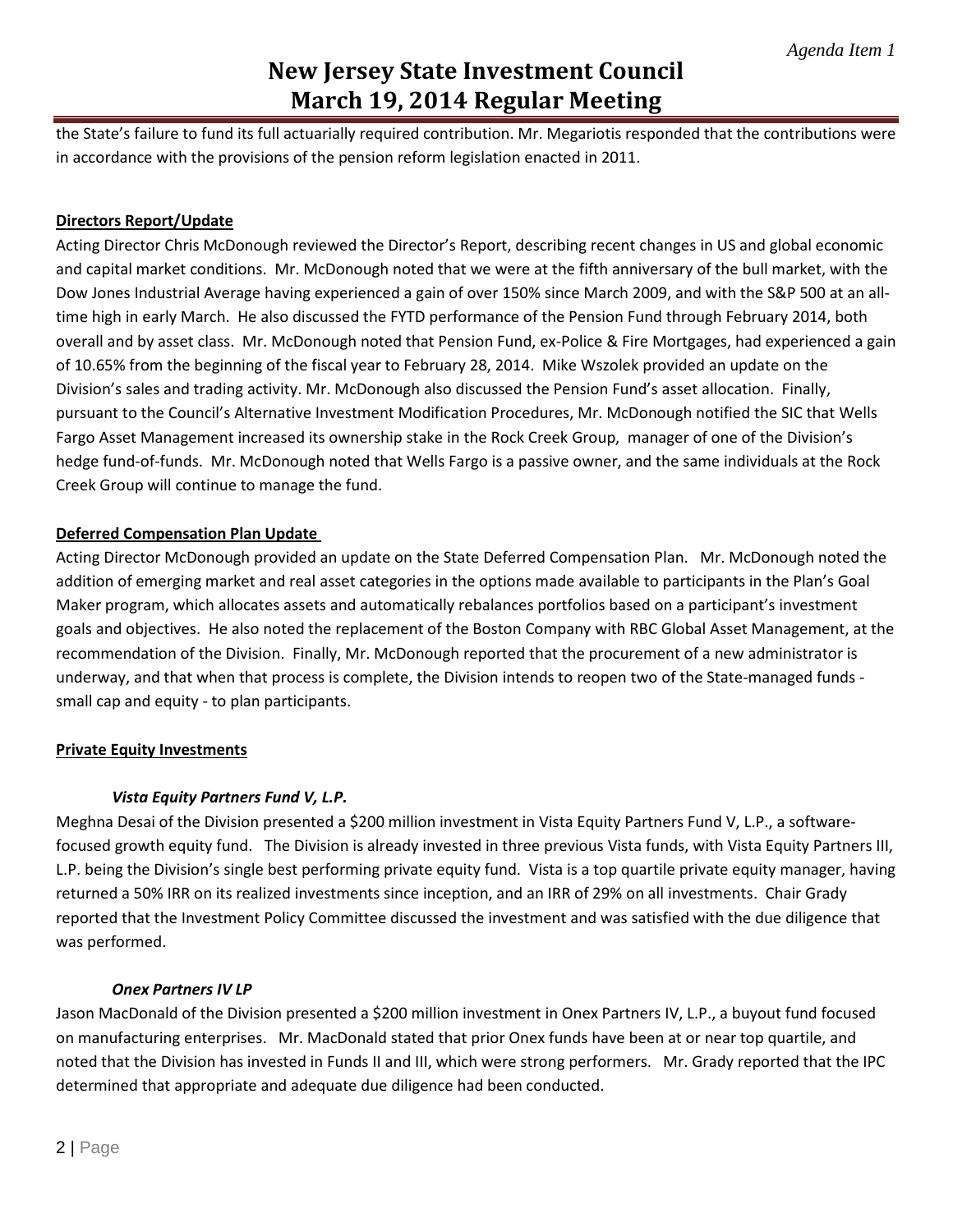# **New Jersey State Investment Council March 19, 2014 Regular Meeting**

the State's failure to fund its full actuarially required contribution. Mr. Megariotis responded that the contributions were in accordance with the provisions of the pension reform legislation enacted in 2011.

## **Directors Report/Update**

Acting Director Chris McDonough reviewed the Director's Report, describing recent changes in US and global economic and capital market conditions. Mr. McDonough noted that we were at the fifth anniversary of the bull market, with the Dow Jones Industrial Average having experienced a gain of over 150% since March 2009, and with the S&P 500 at an alltime high in early March. He also discussed the FYTD performance of the Pension Fund through February 2014, both overall and by asset class. Mr. McDonough noted that Pension Fund, ex-Police & Fire Mortgages, had experienced a gain of 10.65% from the beginning of the fiscal year to February 28, 2014. Mike Wszolek provided an update on the Division's sales and trading activity. Mr. McDonough also discussed the Pension Fund's asset allocation. Finally, pursuant to the Council's Alternative Investment Modification Procedures, Mr. McDonough notified the SIC that Wells Fargo Asset Management increased its ownership stake in the Rock Creek Group, manager of one of the Division's hedge fund-of-funds. Mr. McDonough noted that Wells Fargo is a passive owner, and the same individuals at the Rock Creek Group will continue to manage the fund.

## **Deferred Compensation Plan Update**

Acting Director McDonough provided an update on the State Deferred Compensation Plan. Mr. McDonough noted the addition of emerging market and real asset categories in the options made available to participants in the Plan's Goal Maker program, which allocates assets and automatically rebalances portfolios based on a participant's investment goals and objectives. He also noted the replacement of the Boston Company with RBC Global Asset Management, at the recommendation of the Division. Finally, Mr. McDonough reported that the procurement of a new administrator is underway, and that when that process is complete, the Division intends to reopen two of the State-managed funds small cap and equity - to plan participants.

### **Private Equity Investments**

## *Vista Equity Partners Fund V, L.P.*

Meghna Desai of the Division presented a \$200 million investment in Vista Equity Partners Fund V, L.P., a softwarefocused growth equity fund. The Division is already invested in three previous Vista funds, with Vista Equity Partners III, L.P. being the Division's single best performing private equity fund. Vista is a top quartile private equity manager, having returned a 50% IRR on its realized investments since inception, and an IRR of 29% on all investments. Chair Grady reported that the Investment Policy Committee discussed the investment and was satisfied with the due diligence that was performed.

### *Onex Partners IV LP*

Jason MacDonald of the Division presented a \$200 million investment in Onex Partners IV, L.P., a buyout fund focused on manufacturing enterprises. Mr. MacDonald stated that prior Onex funds have been at or near top quartile, and noted that the Division has invested in Funds II and III, which were strong performers. Mr. Grady reported that the IPC determined that appropriate and adequate due diligence had been conducted.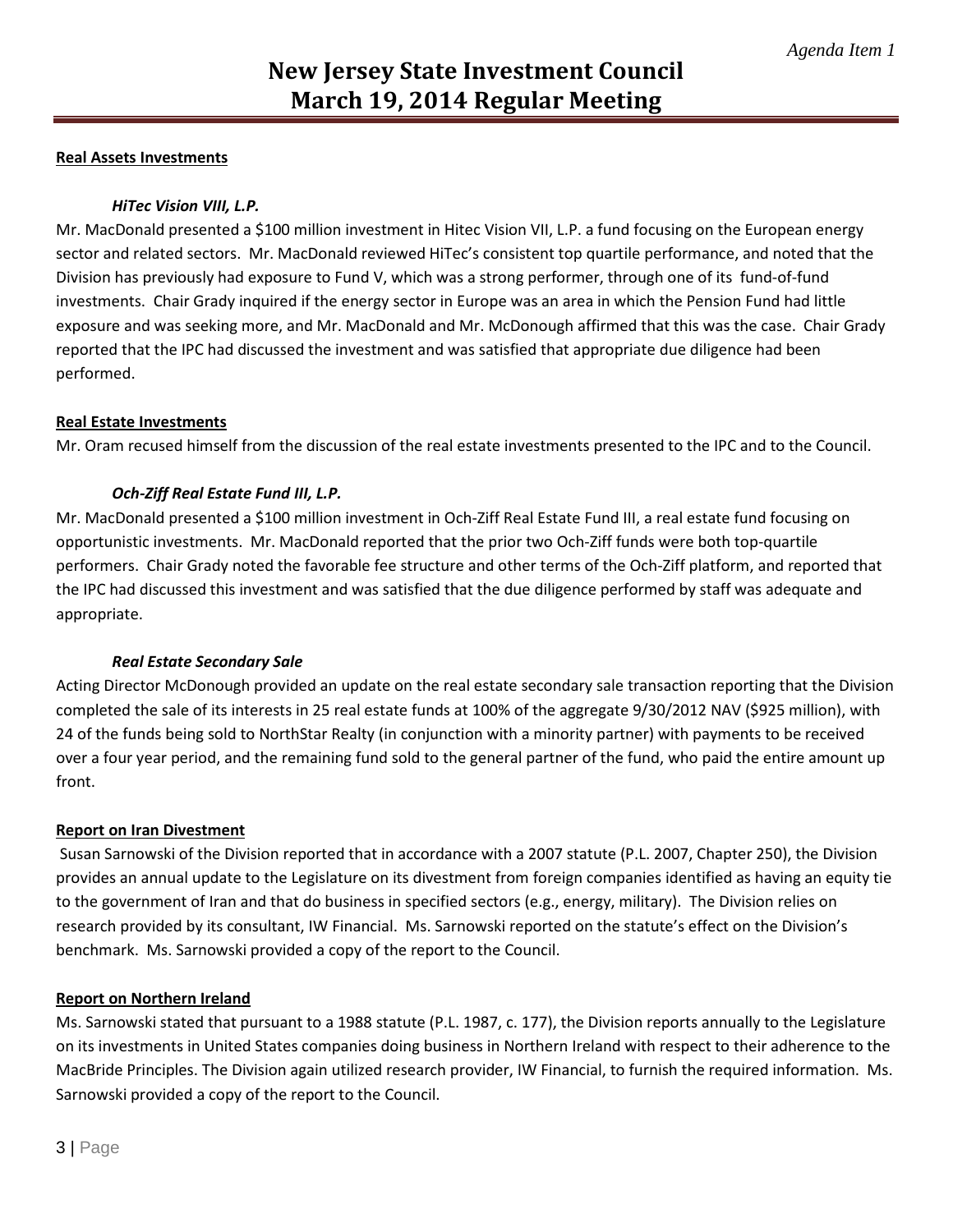## **Real Assets Investments**

## *HiTec Vision VIII, L.P.*

Mr. MacDonald presented a \$100 million investment in Hitec Vision VII, L.P. a fund focusing on the European energy sector and related sectors. Mr. MacDonald reviewed HiTec's consistent top quartile performance, and noted that the Division has previously had exposure to Fund V, which was a strong performer, through one of its fund-of-fund investments. Chair Grady inquired if the energy sector in Europe was an area in which the Pension Fund had little exposure and was seeking more, and Mr. MacDonald and Mr. McDonough affirmed that this was the case. Chair Grady reported that the IPC had discussed the investment and was satisfied that appropriate due diligence had been performed.

### **Real Estate Investments**

Mr. Oram recused himself from the discussion of the real estate investments presented to the IPC and to the Council.

### *Och-Ziff Real Estate Fund III, L.P.*

Mr. MacDonald presented a \$100 million investment in Och-Ziff Real Estate Fund III, a real estate fund focusing on opportunistic investments. Mr. MacDonald reported that the prior two Och-Ziff funds were both top-quartile performers. Chair Grady noted the favorable fee structure and other terms of the Och-Ziff platform, and reported that the IPC had discussed this investment and was satisfied that the due diligence performed by staff was adequate and appropriate.

### *Real Estate Secondary Sale*

Acting Director McDonough provided an update on the real estate secondary sale transaction reporting that the Division completed the sale of its interests in 25 real estate funds at 100% of the aggregate 9/30/2012 NAV (\$925 million), with 24 of the funds being sold to NorthStar Realty (in conjunction with a minority partner) with payments to be received over a four year period, and the remaining fund sold to the general partner of the fund, who paid the entire amount up front.

### **Report on Iran Divestment**

Susan Sarnowski of the Division reported that in accordance with a 2007 statute (P.L. 2007, Chapter 250), the Division provides an annual update to the Legislature on its divestment from foreign companies identified as having an equity tie to the government of Iran and that do business in specified sectors (e.g., energy, military). The Division relies on research provided by its consultant, IW Financial. Ms. Sarnowski reported on the statute's effect on the Division's benchmark. Ms. Sarnowski provided a copy of the report to the Council.

### **Report on Northern Ireland**

Ms. Sarnowski stated that pursuant to a 1988 statute (P.L. 1987, c. 177), the Division reports annually to the Legislature on its investments in United States companies doing business in Northern Ireland with respect to their adherence to the MacBride Principles. The Division again utilized research provider, IW Financial, to furnish the required information. Ms. Sarnowski provided a copy of the report to the Council.